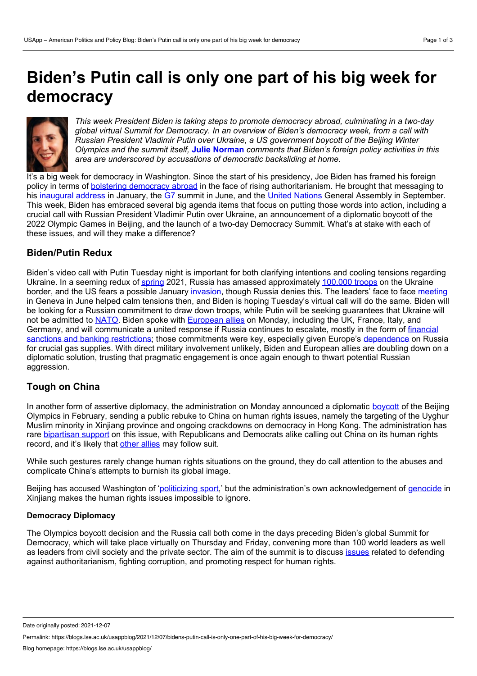# **Biden's Putin call is only one part of his big week for democracy**



*This week President Biden is taking steps to promote democracy abroad, culminating in a two-day global virtual Summit for Democracy. In an overview of Biden's democracy week, from acall with Russian President Vladimir Putin over Ukraine, a US government boycott of the Beijing Winter Olympics and the summit itself,* **Julie [Norman](https://wp.me/p3I2YF-bma#Author)** *comments that Biden's foreign policy activities in this area are underscored by accusations of democratic backsliding at home.*

It's a big week for democracy in Washington. Since the start of his presidency, Joe Biden has framed his foreign policy in terms of bolstering [democracy](https://www.vox.com/2021/4/28/22408735/joe-biden-congress-speech-democracy-autocracy) abroad in the face of rising authoritarianism. He brought that messaging to his [inaugural](https://www.whitehouse.gov/briefing-room/speeches-remarks/2021/02/04/remarks-by-president-biden-on-americas-place-in-the-world/) address in January, the [G7](https://www.reuters.com/world/biden-democratic-nations-race-compete-with-autocratic-governments-2021-06-13/) summit in June, and the United [Nations](https://www.whitehouse.gov/briefing-room/speeches-remarks/2021/09/21/remarks-by-president-biden-before-the-76th-session-of-the-united-nations-general-assembly/) General Assembly in September. This week, Biden has embraced several big agenda items that focus on putting those words into action, including a crucial call with Russian President Vladimir Putin over Ukraine, an announcement of a diplomatic boycott of the 2022 Olympic Games in Beijing, and the launch of a two-day Democracy Summit. What's at stake with each of these issues, and will they make a difference?

## **Biden/Putin Redux**

Biden's video call with Putin Tuesday night is important for both clarifying intentions and cooling tensions regarding Ukraine. In a seeming redux of [spring](https://www.nytimes.com/2021/04/16/world/europe/russia-ukraine-troops.html) 2021, Russia has amassed approximately [100,000](https://www.reuters.com/world/europe/ukraine-says-russia-has-nearly-100000-troops-near-its-border-2021-11-13/) troops on the Ukraine border, and the US fears a possible January [invasion](https://www.cbsnews.com/news/russian-invasion-ukraine-possible-us-warns-175000-troops-as-soon-as-january/), though Russia denies this. The leaders' face to face [meeting](https://blogs.lse.ac.uk/usappblog/2021/06/17/bidens-meetings-with-the-g7-and-putin-made-little-concrete-progress-reflecting-the-presidents-focus-on-domestic-rather-than-foreign-policy/) in Geneva in June helped calm tensions then, and Biden is hoping Tuesday's virtual call will do the same. Biden will be looking for a Russian commitment to draw down troops, while Putin will be seeking guarantees that Ukraine will not be admitted to [NATO](https://www.washingtonpost.com/world/europe/biden-putin-meeting-nato-ukraine/2021/12/06/71225812-5677-11ec-8396-5552bef55c3c_story.html). Biden spoke with [European](https://www.google.com/search?q=biden+european+allies&oq=biden+european+allies&aqs=chrome..69i57.3894j0j9&sourceid=chrome&ie=UTF-8#:~:text=11%20hours%20ago-,.,12%20hours%20ago,-More%20news) allies on Monday, including the UK, France, Italy, and Germany, and will [communicate](https://www.bloomberg.com/news/articles/2021-12-06/biden-weighs-russian-banking-sanctions-if-putin-invades-ukraine) a united response if Russia continues to escalate, mostly in the form of financial sanctions and banking restrictions; those commitments were key, especially given Europe's [dependence](https://www.bloomberg.com/news/articles/2021-11-10/how-europe-has-become-so-dependent-on-putin-for-gas-quicktake) on Russia for crucial gas supplies. With direct military involvement unlikely, Biden and European allies are doubling down on a diplomatic solution, trusting that pragmatic engagement is once again enough to thwart potential Russian aggression.

# **Tough on China**

In another form of assertive diplomacy, the administration on Monday announced a diplomatic [boycott](https://www.bbc.co.uk/news/world-us-canada-59556613) of the Beijing Olympics in February, sending a public rebuke to China on human rights issues, namely the targeting of the Uyghur Muslim minority in Xinjiang province and ongoing crackdowns on democracy in Hong Kong. The administration has rare [bipartisan](https://www.cnbc.com/2021/12/06/us-diplomats-will-boycott-beijing-winter-olympics-over-human-rights-abuses-.html) support on this issue, with Republicans and Democrats alike calling out China on its human rights record, and it's likely that other [allies](https://www.japantimes.co.jp/news/2021/12/07/asia-pacific/politics-diplomacy-asia-pacific/us-japan-china-olympics-boycott/) may follow suit.

While such gestures rarely change human rights situations on the ground, they do call attention to the abuses and complicate China's attempts to burnish its global image.

Beijing has accused Washington of ['politicizing](https://abcnews.go.com/Sports/wireStory/china-slams-olympic-boycott-call-politicization-sports-78731310) sport,' but the administration's own acknowledgement of [genocide](https://www.nytimes.com/2021/01/19/us/politics/trump-china-xinjiang.html) in Xinjiang makes the human rights issues impossible to ignore.

#### **Democracy Diplomacy**

The Olympics boycott decision and the Russia call both come in the days preceding Biden's global Summit for Democracy, which will take place virtually on Thursday and Friday, convening more than 100 world leaders as well as leaders from civil society and the private sector. The aim of the summit is to discuss [issues](https://www.state.gov/summit-for-democracy/) related to defending against authoritarianism, fighting corruption, and promoting respect for human rights.

Date originally posted: 2021-12-07

Permalink: https://blogs.lse.ac.uk/usappblog/2021/12/07/bidens-putin-call-is-only-one-part-of-his-big-week-for-democracy/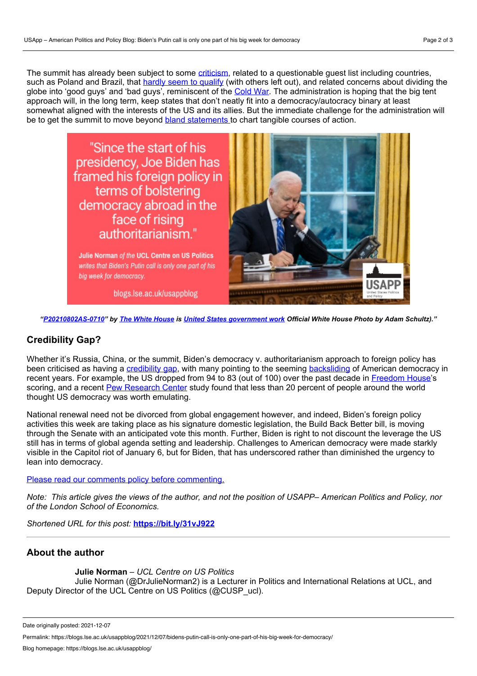The summit has already been subject to some [criticism,](https://www.politico.com/news/magazine/2021/12/05/bidens-democracy-summit-never-good-idea-523718) related to a questionable guest list including countries, such as Poland and Brazil, that hardly seem to [qualify](https://www.politico.com/news/magazine/2021/12/05/bidens-democracy-summit-never-good-idea-523718) (with others left out), and related concerns about dividing the globe into 'good guys' and 'bad guys', reminiscent of the [Cold](https://responsiblestatecraft.org/2021/12/07/why-it-would-be-better-if-this-democracy-summit-never-happened/) War. The administration is hoping that the big tent approach will, in the long term, keep states that don't neatly fit into a democracy/autocracy binary at least somewhat aligned with the interests of the US and its allies. But the immediate challenge for the administration will be to get the summit to move beyond bland [statements](https://foreignpolicy.com/2021/11/12/biden-democracy-summit-china-russia-authoritarianism/) to chart tangible courses of action.



Julie Norman of the UCL Centre on US Politics writes that Biden's Putin call is only one part of his big week for democracy.

blogs.lse.ac.uk/usappblog



"[P20210802AS-0710](https://www.flickr.com/photos/whitehouse/51480023589/)" by The White [House](https://www.flickr.com/photos/whitehouse/) is United States [government](http://www.usa.gov/copyright.shtml) work Official White House Photo by Adam Schultz)."

# **Credibility Gap?**

Whether it's Russia, China, or the summit, Biden's democracy v. authoritarianism approach to foreign policy has been criticised as having a [credibility](https://www.foreignaffairs.com/articles/united-states/2021-01-09/united-states-needs-democracy-summit-home) gap, with many pointing to the seeming [backsliding](https://www.washingtonpost.com/outlook/democracy-summit-china-russia/2021/12/03/d64d4544-537a-11ec-8769-2f4ecdf7a2ad_story.html) of American democracy in recent years. For example, the US dropped from 94 to 83 (out of 100) over the past decade in [Freedom](https://freedomhouse.org/sites/default/files/Feb2019_FH_FITW_2019_Report_ForWeb-compressed.pdf) House's scoring, and a recent Pew [Research](https://www.pewresearch.org/global/2021/11/01/what-people-around-the-world-like-and-dislike-about-american-society-and-politics/) Center study found that less than 20 percent of people around the world thought US democracy was worth emulating.

National renewal need not be divorced from global engagement however, and indeed, Biden's foreign policy activities this week are taking place as his signature domestic legislation, the Build Back Better bill, is moving through the Senate with an anticipated vote this month. Further, Biden is right to not discount the leverage the US still has in terms of global agenda setting and leadership. Challenges to American democracy were made starkly visible in the Capitol riot of January 6, but for Biden, that has underscored rather than diminished the urgency to lean into democracy.

Please read our comments policy before [commenting.](http://blogs.lse.ac.uk/usappblog/comments-policy/)

Note: This article gives the views of the author, and not the position of USAPP– American Politics and Policy, nor *of the London School of Economics.*

*Shortened URL for this post:* **<https://bit.ly/31vJ922>**

### **About the author**

**Julie Norman** – *UCL Centre on US Politics*

Julie Norman (@DrJulieNorman2) is a Lecturer in Politics and International Relations at UCL, and Deputy Director of the UCL Centre on US Politics (@CUSP\_ucl).

Date originally posted: 2021-12-07

Permalink: https://blogs.lse.ac.uk/usappblog/2021/12/07/bidens-putin-call-is-only-one-part-of-his-big-week-for-democracy/